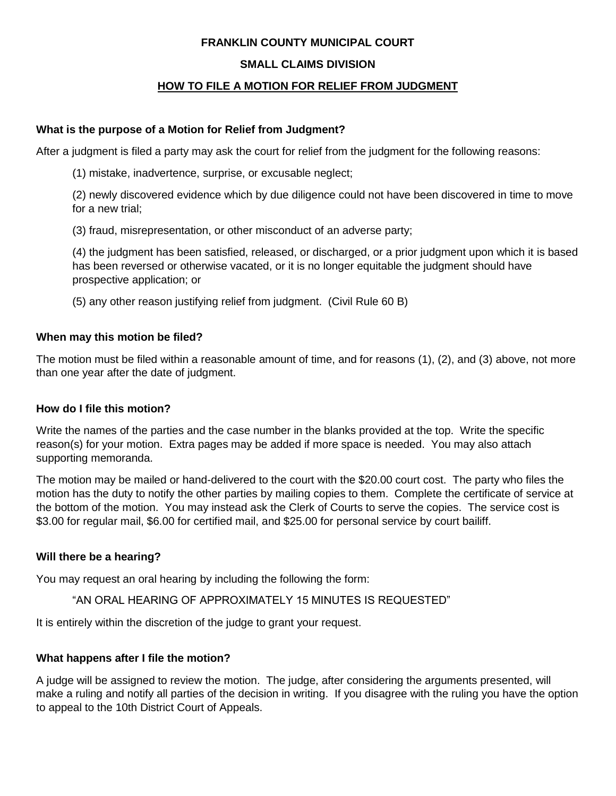## **FRANKLIN COUNTY MUNICIPAL COURT**

## **SMALL CLAIMS DIVISION**

# **HOW TO FILE A MOTION FOR RELIEF FROM JUDGMENT**

#### **What is the purpose of a Motion for Relief from Judgment?**

After a judgment is filed a party may ask the court for relief from the judgment for the following reasons:

(1) mistake, inadvertence, surprise, or excusable neglect;

(2) newly discovered evidence which by due diligence could not have been discovered in time to move for a new trial;

(3) fraud, misrepresentation, or other misconduct of an adverse party;

(4) the judgment has been satisfied, released, or discharged, or a prior judgment upon which it is based has been reversed or otherwise vacated, or it is no longer equitable the judgment should have prospective application; or

(5) any other reason justifying relief from judgment. (Civil Rule 60 B)

#### **When may this motion be filed?**

The motion must be filed within a reasonable amount of time, and for reasons (1), (2), and (3) above, not more than one year after the date of judgment.

## **How do I file this motion?**

Write the names of the parties and the case number in the blanks provided at the top. Write the specific reason(s) for your motion. Extra pages may be added if more space is needed. You may also attach supporting memoranda.

The motion may be mailed or hand-delivered to the court with the \$20.00 court cost. The party who files the motion has the duty to notify the other parties by mailing copies to them. Complete the certificate of service at the bottom of the motion. You may instead ask the Clerk of Courts to serve the copies. The service cost is \$3.00 for regular mail, \$6.00 for certified mail, and \$25.00 for personal service by court bailiff.

## **Will there be a hearing?**

You may request an oral hearing by including the following the form:

"AN ORAL HEARING OF APPROXIMATELY 15 MINUTES IS REQUESTED"

It is entirely within the discretion of the judge to grant your request.

## **What happens after I file the motion?**

A judge will be assigned to review the motion. The judge, after considering the arguments presented, will make a ruling and notify all parties of the decision in writing. If you disagree with the ruling you have the option to appeal to the 10th District Court of Appeals.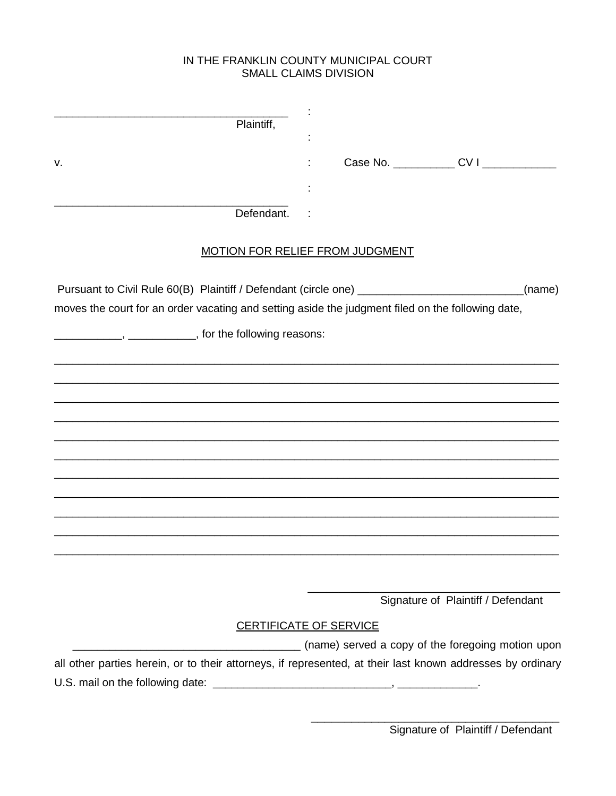# IN THE FRANKLIN COUNTY MUNICIPAL COURT **SMALL CLAIMS DIVISION**

| Plaintiff,                                                                                                 |                                                   |
|------------------------------------------------------------------------------------------------------------|---------------------------------------------------|
| v.                                                                                                         |                                                   |
|                                                                                                            |                                                   |
| Defendant.                                                                                                 |                                                   |
| <b>MOTION FOR RELIEF FROM JUDGMENT</b>                                                                     |                                                   |
| moves the court for an order vacating and setting aside the judgment filed on the following date,          | (name)                                            |
| ______________, _____________, for the following reasons:                                                  |                                                   |
|                                                                                                            |                                                   |
|                                                                                                            |                                                   |
|                                                                                                            |                                                   |
|                                                                                                            |                                                   |
|                                                                                                            |                                                   |
|                                                                                                            |                                                   |
|                                                                                                            |                                                   |
|                                                                                                            |                                                   |
|                                                                                                            |                                                   |
|                                                                                                            | Signature of Plaintiff / Defendant                |
| <b>CERTIFICATE OF SERVICE</b>                                                                              |                                                   |
|                                                                                                            | (name) served a copy of the foregoing motion upon |
| all other parties herein, or to their attorneys, if represented, at their last known addresses by ordinary |                                                   |
|                                                                                                            |                                                   |
|                                                                                                            |                                                   |